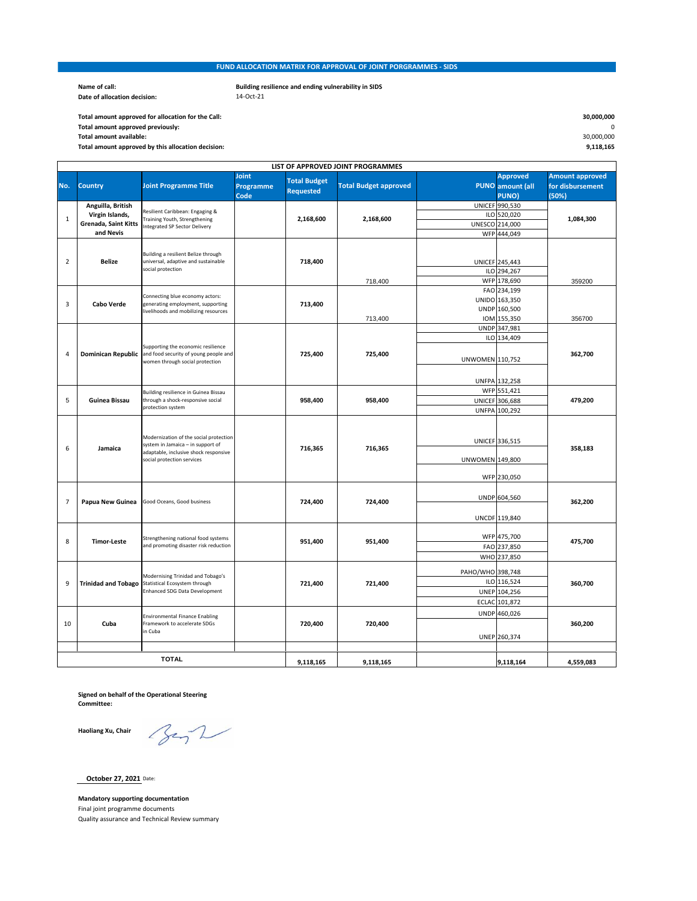| Name of call:                | <b>Building re</b> |
|------------------------------|--------------------|
| Date of allocation decision: | 14-Oct-21          |

0

**Haoliang Xu, Chair**

Birt

**October 27, 2021** Date:

Quality assurance and Technical Review summary

**Total amount approved for allocation for the Call: 30,000,000 Total amount available:** 30,000,000 **9,118,165 Total amount approved previously: Total amount approved by this allocation decision:**

**Signed on behalf of the Operational Steering Committee:**

|                | LIST OF APPROVED JOINT PROGRAMMES                           |                                                                                                                                                    |                                          |                                         |                              |                        |                                                            |                                                     |  |
|----------------|-------------------------------------------------------------|----------------------------------------------------------------------------------------------------------------------------------------------------|------------------------------------------|-----------------------------------------|------------------------------|------------------------|------------------------------------------------------------|-----------------------------------------------------|--|
| No.            | <b>Country</b>                                              | <b>Joint Programme Title</b>                                                                                                                       | Joint<br><b>Programme</b><br><b>Code</b> | <b>Total Budget</b><br><b>Requested</b> | <b>Total Budget approved</b> |                        | <b>Approved</b><br><b>PUNO</b> amount (all<br><b>PUNO)</b> | <b>Amount approved</b><br>for disbursement<br>(50%) |  |
|                | Anguilla, British                                           |                                                                                                                                                    |                                          |                                         | 2,168,600                    |                        | UNICEF 990,530                                             | 1,084,300                                           |  |
| $\mathbf{1}$   | Virgin Islands,<br><b>Grenada, Saint Kitts</b><br>and Nevis | Resilient Caribbean: Engaging &<br>Training Youth, Strengthening<br>Integrated SP Sector Delivery                                                  |                                          | 2,168,600                               |                              |                        | ILO 520,020                                                |                                                     |  |
|                |                                                             |                                                                                                                                                    |                                          |                                         |                              | UNESCO 214,000         |                                                            |                                                     |  |
|                |                                                             |                                                                                                                                                    |                                          |                                         |                              |                        | WFP 444,049                                                |                                                     |  |
| $\overline{2}$ | <b>Belize</b>                                               | Building a resilient Belize through<br>universal, adaptive and sustainable                                                                         |                                          | 718,400                                 |                              |                        | UNICEF 245,443                                             |                                                     |  |
|                |                                                             | social protection                                                                                                                                  |                                          |                                         |                              |                        | ILO 294,267                                                |                                                     |  |
|                |                                                             |                                                                                                                                                    |                                          |                                         | 718,400                      |                        | WFP 178,690                                                | 359200                                              |  |
|                | <b>Cabo Verde</b>                                           |                                                                                                                                                    |                                          | 713,400                                 |                              |                        | FAO 234,199                                                |                                                     |  |
| 3              |                                                             | Connecting blue economy actors:<br>generating employment, supporting<br>livelihoods and mobilizing resources                                       |                                          |                                         |                              |                        | UNIDO 163,350                                              |                                                     |  |
|                |                                                             |                                                                                                                                                    |                                          |                                         | 713,400                      |                        | UNDP 160,500                                               |                                                     |  |
|                |                                                             |                                                                                                                                                    |                                          |                                         |                              |                        | IOM 155,350                                                | 356700                                              |  |
|                |                                                             |                                                                                                                                                    |                                          |                                         |                              |                        | UNDP 347,981                                               |                                                     |  |
|                |                                                             |                                                                                                                                                    |                                          |                                         |                              |                        | ILO 134,409                                                |                                                     |  |
| 4              | <b>Dominican Republic</b>                                   | Supporting the economic resilience<br>and food security of young people and<br>women through social protection                                     |                                          | 725,400                                 | 725,400                      | UNWOMEN 110,752        |                                                            | 362,700                                             |  |
|                |                                                             |                                                                                                                                                    |                                          |                                         |                              |                        |                                                            |                                                     |  |
|                |                                                             |                                                                                                                                                    |                                          |                                         |                              |                        | UNFPA 132,258                                              |                                                     |  |
| 5              | <b>Guinea Bissau</b>                                        | Building resilience in Guinea Bissau<br>through a shock-responsive social<br>protection system                                                     |                                          |                                         | 958,400                      |                        | WFP 551,421                                                |                                                     |  |
|                |                                                             |                                                                                                                                                    |                                          | 958,400                                 |                              |                        | UNICEF 306,688                                             | 479,200                                             |  |
|                |                                                             |                                                                                                                                                    |                                          |                                         |                              |                        | UNFPA 100,292                                              |                                                     |  |
| 6              | Jamaica                                                     | Modernization of the social protection<br>system in Jamaica - in support of<br>adaptable, inclusive shock responsive<br>social protection services |                                          | 716,365                                 | 716,365                      | <b>UNWOMEN</b> 149,800 | UNICEF 336,515                                             | 358,183                                             |  |
|                |                                                             |                                                                                                                                                    |                                          |                                         |                              |                        | WFP 230,050                                                |                                                     |  |
| $\overline{7}$ | <b>Papua New Guinea</b>                                     | Good Oceans, Good business                                                                                                                         |                                          | 724,400                                 | 724,400                      |                        | UNDP 604,560                                               | 362,200                                             |  |
|                |                                                             |                                                                                                                                                    |                                          |                                         |                              |                        | UNCDF 119,840                                              |                                                     |  |
| 8              | <b>Timor-Leste</b>                                          | Strengthening national food systems<br>and promoting disaster risk reduction                                                                       |                                          | 951,400                                 | 951,400                      |                        | WFP 475,700<br>FAO 237,850<br>WHO 237,850                  | 475,700                                             |  |
|                | <b>Trinidad and Tobago</b>                                  | Modernising Trinidad and Tobago's<br>Statistical Ecosystem through<br>Enhanced SDG Data Development                                                |                                          | 721,400                                 | 721,400                      |                        |                                                            |                                                     |  |
|                |                                                             |                                                                                                                                                    |                                          |                                         |                              | PAHO/WHO 398,748       |                                                            | 360,700                                             |  |
| 9              |                                                             |                                                                                                                                                    |                                          |                                         |                              |                        | ILO 116,524                                                |                                                     |  |
|                |                                                             |                                                                                                                                                    |                                          |                                         |                              |                        | UNEP 104,256                                               |                                                     |  |
|                |                                                             |                                                                                                                                                    |                                          |                                         |                              |                        | ECLAC 101,872                                              |                                                     |  |
| 10             | Cuba                                                        | <b>Environmental Finance Enabling</b><br>Framework to accelerate SDGs<br>in Cuba                                                                   |                                          |                                         | 720,400                      |                        | UNDP 460,026                                               | 360,200                                             |  |
|                |                                                             |                                                                                                                                                    |                                          | 720,400                                 |                              |                        | UNEP 260,374                                               |                                                     |  |
|                |                                                             |                                                                                                                                                    |                                          |                                         |                              |                        |                                                            |                                                     |  |
| <b>TOTAL</b>   |                                                             |                                                                                                                                                    |                                          | 9,118,165                               | 9,118,165                    |                        | 9,118,164                                                  | 4,559,083                                           |  |

**Mandatory supporting documentation** Final joint programme documents

## **FUND ALLOCATION MATRIX FOR APPROVAL OF JOINT PORGRAMMES - SIDS**

**Building resilience and ending vulnerability in SIDS**